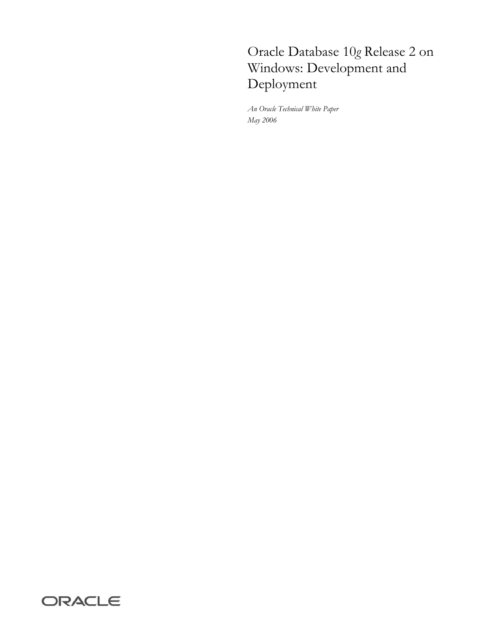# Oracle Database 10*g* Release 2 on Windows: Development and Deployment

*An Oracle Technical White Paper May 2006* 

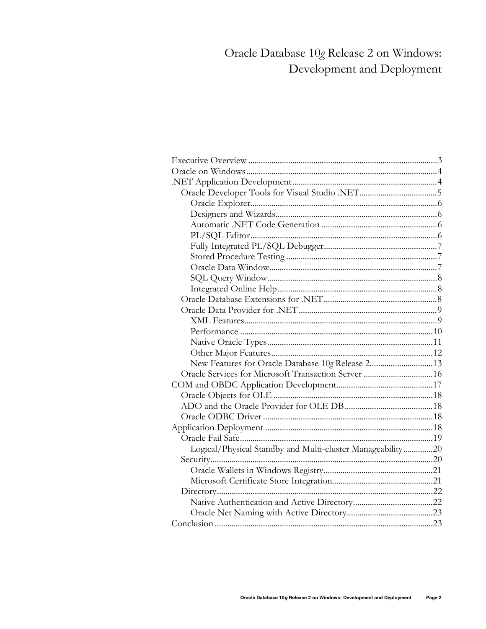# Oracle Database 10g Release 2 on Windows: Development and Deployment

| New Features for Oracle Database 10g Release 213           |  |
|------------------------------------------------------------|--|
|                                                            |  |
|                                                            |  |
|                                                            |  |
|                                                            |  |
|                                                            |  |
|                                                            |  |
|                                                            |  |
| Logical/Physical Standby and Multi-cluster Manageability20 |  |
|                                                            |  |
|                                                            |  |
|                                                            |  |
|                                                            |  |
|                                                            |  |
|                                                            |  |
|                                                            |  |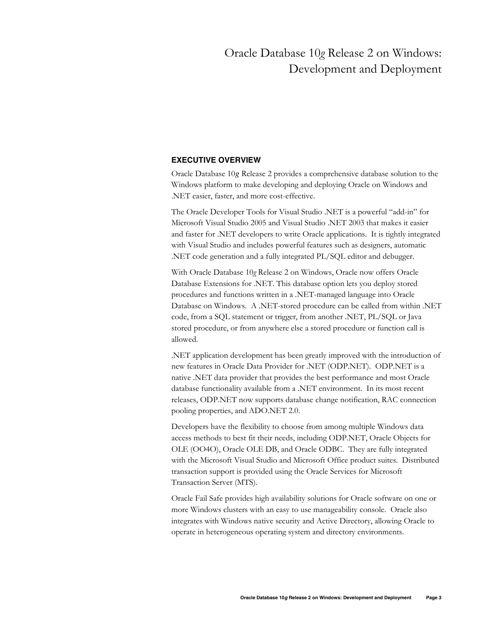# Oracle Database 10*g* Release 2 on Windows: Development and Deployment

# **EXECUTIVE OVERVIEW**

Oracle Database 10*g* Release 2 provides a comprehensive database solution to the Windows platform to make developing and deploying Oracle on Windows and .NET easier, faster, and more cost-effective.

The Oracle Developer Tools for Visual Studio .NET is a powerful "add-in" for Microsoft Visual Studio 2005 and Visual Studio .NET 2003 that makes it easier and faster for .NET developers to write Oracle applications. It is tightly integrated with Visual Studio and includes powerful features such as designers, automatic .NET code generation and a fully integrated PL/SQL editor and debugger.

With Oracle Database 10*g* Release 2 on Windows, Oracle now offers Oracle Database Extensions for .NET. This database option lets you deploy stored procedures and functions written in a .NET-managed language into Oracle Database on Windows. A .NET-stored procedure can be called from within .NET code, from a SQL statement or trigger, from another .NET, PL/SQL or Java stored procedure, or from anywhere else a stored procedure or function call is allowed.

.NET application development has been greatly improved with the introduction of new features in Oracle Data Provider for .NET (ODP.NET). ODP.NET is a native .NET data provider that provides the best performance and most Oracle database functionality available from a .NET environment. In its most recent releases, ODP.NET now supports database change notification, RAC connection pooling properties, and ADO.NET 2.0.

Developers have the flexibility to choose from among multiple Windows data access methods to best fit their needs, including ODP.NET, Oracle Objects for OLE (OO4O), Oracle OLE DB, and Oracle ODBC. They are fully integrated with the Microsoft Visual Studio and Microsoft Office product suites. Distributed transaction support is provided using the Oracle Services for Microsoft Transaction Server (MTS).

Oracle Fail Safe provides high availability solutions for Oracle software on one or more Windows clusters with an easy to use manageability console. Oracle also integrates with Windows native security and Active Directory, allowing Oracle to operate in heterogeneous operating system and directory environments.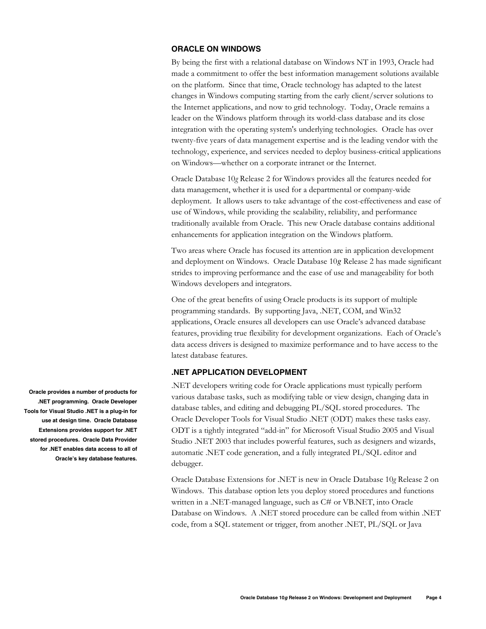# **ORACLE ON WINDOWS**

By being the first with a relational database on Windows NT in 1993, Oracle had made a commitment to offer the best information management solutions available on the platform. Since that time, Oracle technology has adapted to the latest changes in Windows computing starting from the early client/server solutions to the Internet applications, and now to grid technology. Today, Oracle remains a leader on the Windows platform through its world-class database and its close integration with the operating system's underlying technologies. Oracle has over twenty-five years of data management expertise and is the leading vendor with the technology, experience, and services needed to deploy business-critical applications on Windows—whether on a corporate intranet or the Internet.

Oracle Database 10*g* Release 2 for Windows provides all the features needed for data management, whether it is used for a departmental or company-wide deployment. It allows users to take advantage of the cost-effectiveness and ease of use of Windows, while providing the scalability, reliability, and performance traditionally available from Oracle. This new Oracle database contains additional enhancements for application integration on the Windows platform.

Two areas where Oracle has focused its attention are in application development and deployment on Windows. Oracle Database 10*g* Release 2 has made significant strides to improving performance and the ease of use and manageability for both Windows developers and integrators.

One of the great benefits of using Oracle products is its support of multiple programming standards. By supporting Java, .NET, COM, and Win32 applications, Oracle ensures all developers can use Oracle's advanced database features, providing true flexibility for development organizations. Each of Oracle's data access drivers is designed to maximize performance and to have access to the latest database features.

# **.NET APPLICATION DEVELOPMENT**

.NET developers writing code for Oracle applications must typically perform various database tasks, such as modifying table or view design, changing data in database tables, and editing and debugging PL/SQL stored procedures. The Oracle Developer Tools for Visual Studio .NET (ODT) makes these tasks easy. ODT is a tightly integrated "add-in" for Microsoft Visual Studio 2005 and Visual Studio .NET 2003 that includes powerful features, such as designers and wizards, automatic .NET code generation, and a fully integrated PL/SQL editor and debugger.

Oracle Database Extensions for .NET is new in Oracle Database 10*g* Release 2 on Windows. This database option lets you deploy stored procedures and functions written in a .NET-managed language, such as C# or VB.NET, into Oracle Database on Windows. A .NET stored procedure can be called from within .NET code, from a SQL statement or trigger, from another .NET, PL/SQL or Java

**Oracle provides a number of products for .NET programming. Oracle Developer Tools for Visual Studio .NET is a plug-in for use at design time. Oracle Database Extensions provides support for .NET stored procedures. Oracle Data Provider for .NET enables data access to all of Oracle's key database features.**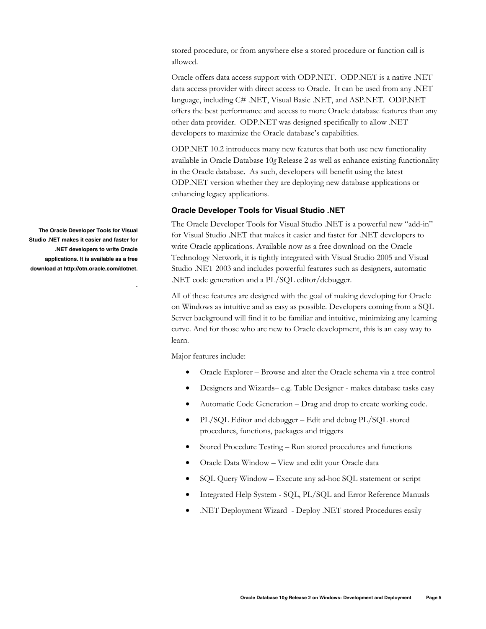stored procedure, or from anywhere else a stored procedure or function call is allowed.

Oracle offers data access support with ODP.NET. ODP.NET is a native .NET data access provider with direct access to Oracle. It can be used from any .NET language, including C# .NET, Visual Basic .NET, and ASP.NET. ODP.NET offers the best performance and access to more Oracle database features than any other data provider. ODP.NET was designed specifically to allow .NET developers to maximize the Oracle database's capabilities.

ODP.NET 10.2 introduces many new features that both use new functionality available in Oracle Database 10*g* Release 2 as well as enhance existing functionality in the Oracle database. As such, developers will benefit using the latest ODP.NET version whether they are deploying new database applications or enhancing legacy applications.

# **Oracle Developer Tools for Visual Studio .NET**

The Oracle Developer Tools for Visual Studio .NET is a powerful new "add-in" for Visual Studio .NET that makes it easier and faster for .NET developers to write Oracle applications. Available now as a free download on the Oracle Technology Network, it is tightly integrated with Visual Studio 2005 and Visual Studio .NET 2003 and includes powerful features such as designers, automatic .NET code generation and a PL/SQL editor/debugger.

All of these features are designed with the goal of making developing for Oracle on Windows as intuitive and as easy as possible. Developers coming from a SQL Server background will find it to be familiar and intuitive, minimizing any learning curve. And for those who are new to Oracle development, this is an easy way to learn.

Major features include:

- Oracle Explorer Browse and alter the Oracle schema via a tree control
- Designers and Wizards– e.g. Table Designer makes database tasks easy
- Automatic Code Generation Drag and drop to create working code.
- PL/SQL Editor and debugger Edit and debug PL/SQL stored procedures, functions, packages and triggers
- Stored Procedure Testing Run stored procedures and functions
- Oracle Data Window View and edit your Oracle data
- SQL Query Window Execute any ad-hoc SQL statement or script
- Integrated Help System SQL, PL/SQL and Error Reference Manuals
- .NET Deployment Wizard Deploy .NET stored Procedures easily

**The Oracle Developer Tools for Visual Studio .NET makes it easier and faster for .NET developers to write Oracle applications. It is available as a free download at http://otn.oracle.com/dotnet.** 

**.**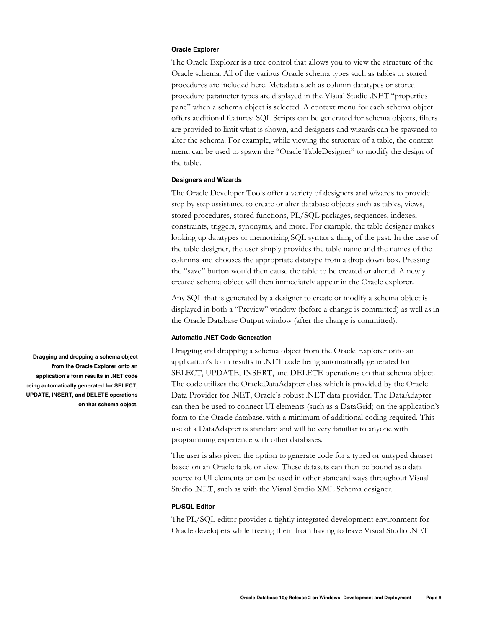#### **Oracle Explorer**

The Oracle Explorer is a tree control that allows you to view the structure of the Oracle schema. All of the various Oracle schema types such as tables or stored procedures are included here. Metadata such as column datatypes or stored procedure parameter types are displayed in the Visual Studio .NET "properties pane" when a schema object is selected. A context menu for each schema object offers additional features: SQL Scripts can be generated for schema objects, filters are provided to limit what is shown, and designers and wizards can be spawned to alter the schema. For example, while viewing the structure of a table, the context menu can be used to spawn the "Oracle TableDesigner" to modify the design of the table.

## **Designers and Wizards**

The Oracle Developer Tools offer a variety of designers and wizards to provide step by step assistance to create or alter database objects such as tables, views, stored procedures, stored functions, PL/SQL packages, sequences, indexes, constraints, triggers, synonyms, and more. For example, the table designer makes looking up datatypes or memorizing SQL syntax a thing of the past. In the case of the table designer, the user simply provides the table name and the names of the columns and chooses the appropriate datatype from a drop down box. Pressing the "save" button would then cause the table to be created or altered. A newly created schema object will then immediately appear in the Oracle explorer.

Any SQL that is generated by a designer to create or modify a schema object is displayed in both a "Preview" window (before a change is committed) as well as in the Oracle Database Output window (after the change is committed).

## **Automatic .NET Code Generation**

Dragging and dropping a schema object from the Oracle Explorer onto an application's form results in .NET code being automatically generated for SELECT, UPDATE, INSERT, and DELETE operations on that schema object. The code utilizes the OracleDataAdapter class which is provided by the Oracle Data Provider for .NET, Oracle's robust .NET data provider. The DataAdapter can then be used to connect UI elements (such as a DataGrid) on the application's form to the Oracle database, with a minimum of additional coding required. This use of a DataAdapter is standard and will be very familiar to anyone with programming experience with other databases.

The user is also given the option to generate code for a typed or untyped dataset based on an Oracle table or view. These datasets can then be bound as a data source to UI elements or can be used in other standard ways throughout Visual Studio .NET, such as with the Visual Studio XML Schema designer.

## **PL/SQL Editor**

The PL/SQL editor provides a tightly integrated development environment for Oracle developers while freeing them from having to leave Visual Studio .NET

**Dragging and dropping a schema object from the Oracle Explorer onto an application's form results in .NET code being automatically generated for SELECT, UPDATE, INSERT, and DELETE operations on that schema object.**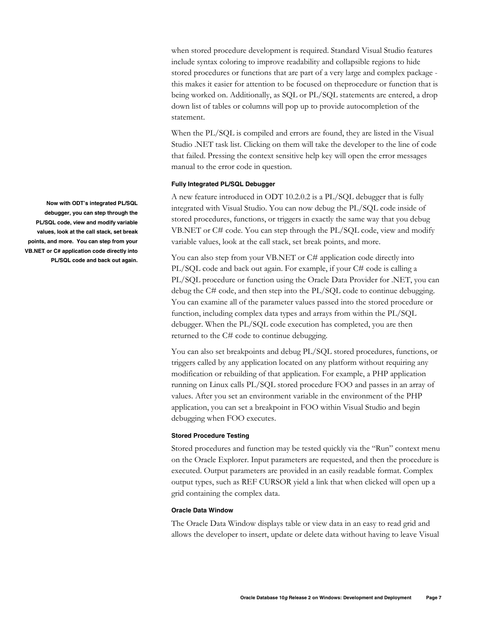when stored procedure development is required. Standard Visual Studio features include syntax coloring to improve readability and collapsible regions to hide stored procedures or functions that are part of a very large and complex package this makes it easier for attention to be focused on theprocedure or function that is being worked on. Additionally, as SQL or PL/SQL statements are entered, a drop down list of tables or columns will pop up to provide autocompletion of the statement.

When the PL/SQL is compiled and errors are found, they are listed in the Visual Studio .NET task list. Clicking on them will take the developer to the line of code that failed. Pressing the context sensitive help key will open the error messages manual to the error code in question.

## **Fully Integrated PL/SQL Debugger**

A new feature introduced in ODT 10.2.0.2 is a PL/SQL debugger that is fully integrated with Visual Studio. You can now debug the PL/SQL code inside of stored procedures, functions, or triggers in exactly the same way that you debug VB.NET or C# code. You can step through the PL/SQL code, view and modify variable values, look at the call stack, set break points, and more.

You can also step from your VB.NET or C# application code directly into PL/SQL code and back out again. For example, if your C# code is calling a PL/SQL procedure or function using the Oracle Data Provider for .NET, you can debug the C# code, and then step into the PL/SQL code to continue debugging. You can examine all of the parameter values passed into the stored procedure or function, including complex data types and arrays from within the PL/SQL debugger. When the PL/SQL code execution has completed, you are then returned to the C# code to continue debugging.

You can also set breakpoints and debug PL/SQL stored procedures, functions, or triggers called by any application located on any platform without requiring any modification or rebuilding of that application. For example, a PHP application running on Linux calls PL/SQL stored procedure FOO and passes in an array of values. After you set an environment variable in the environment of the PHP application, you can set a breakpoint in FOO within Visual Studio and begin debugging when FOO executes.

## **Stored Procedure Testing**

Stored procedures and function may be tested quickly via the "Run" context menu on the Oracle Explorer. Input parameters are requested, and then the procedure is executed. Output parameters are provided in an easily readable format. Complex output types, such as REF CURSOR yield a link that when clicked will open up a grid containing the complex data.

# **Oracle Data Window**

The Oracle Data Window displays table or view data in an easy to read grid and allows the developer to insert, update or delete data without having to leave Visual

**Now with ODT's integrated PL/SQL debugger, you can step through the PL/SQL code, view and modify variable values, look at the call stack, set break points, and more. You can step from your VB.NET or C# application code directly into PL/SQL code and back out again.**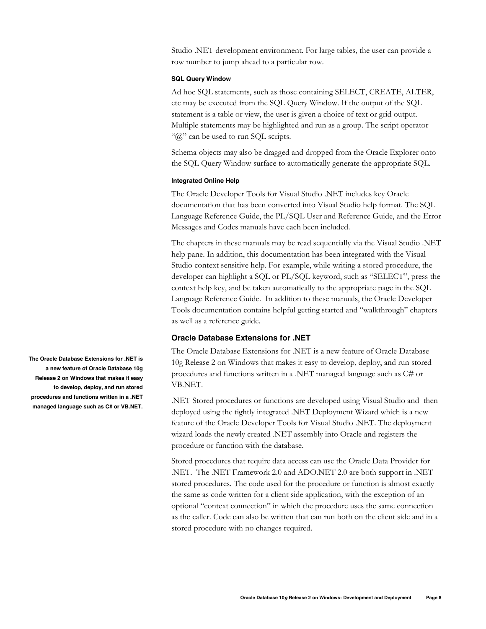Studio .NET development environment. For large tables, the user can provide a row number to jump ahead to a particular row.

## **SQL Query Window**

Ad hoc SQL statements, such as those containing SELECT, CREATE, ALTER, etc may be executed from the SQL Query Window. If the output of the SQL statement is a table or view, the user is given a choice of text or grid output. Multiple statements may be highlighted and run as a group. The script operator " $@$ " can be used to run SOL scripts.

Schema objects may also be dragged and dropped from the Oracle Explorer onto the SQL Query Window surface to automatically generate the appropriate SQL.

## **Integrated Online Help**

The Oracle Developer Tools for Visual Studio .NET includes key Oracle documentation that has been converted into Visual Studio help format. The SQL Language Reference Guide, the PL/SQL User and Reference Guide, and the Error Messages and Codes manuals have each been included.

The chapters in these manuals may be read sequentially via the Visual Studio .NET help pane. In addition, this documentation has been integrated with the Visual Studio context sensitive help. For example, while writing a stored procedure, the developer can highlight a SQL or PL/SQL keyword, such as "SELECT", press the context help key, and be taken automatically to the appropriate page in the SQL Language Reference Guide. In addition to these manuals, the Oracle Developer Tools documentation contains helpful getting started and "walkthrough" chapters as well as a reference guide.

# **Oracle Database Extensions for .NET**

The Oracle Database Extensions for .NET is a new feature of Oracle Database 10g Release 2 on Windows that makes it easy to develop, deploy, and run stored procedures and functions written in a .NET managed language such as C# or VB.NET.

.NET Stored procedures or functions are developed using Visual Studio and then deployed using the tightly integrated .NET Deployment Wizard which is a new feature of the Oracle Developer Tools for Visual Studio .NET. The deployment wizard loads the newly created .NET assembly into Oracle and registers the procedure or function with the database.

Stored procedures that require data access can use the Oracle Data Provider for .NET. The .NET Framework 2.0 and ADO.NET 2.0 are both support in .NET stored procedures. The code used for the procedure or function is almost exactly the same as code written for a client side application, with the exception of an optional "context connection" in which the procedure uses the same connection as the caller. Code can also be written that can run both on the client side and in a stored procedure with no changes required.

**The Oracle Database Extensions for .NET is a new feature of Oracle Database 10g Release 2 on Windows that makes it easy to develop, deploy, and run stored procedures and functions written in a .NET managed language such as C# or VB.NET.**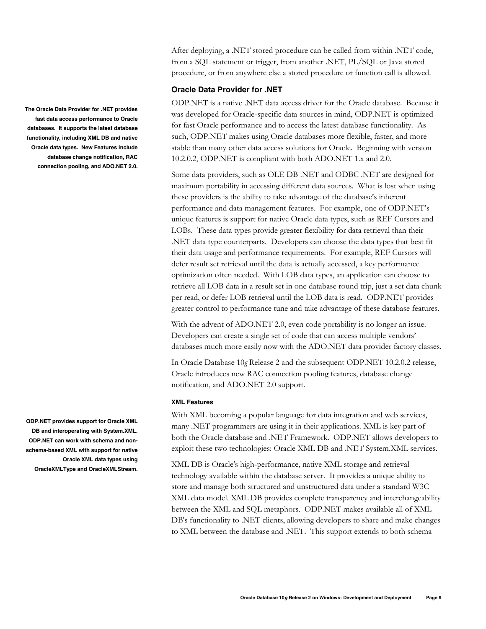After deploying, a .NET stored procedure can be called from within .NET code, from a SQL statement or trigger, from another .NET, PL/SQL or Java stored procedure, or from anywhere else a stored procedure or function call is allowed.

# **Oracle Data Provider for .NET**

ODP.NET is a native .NET data access driver for the Oracle database. Because it was developed for Oracle-specific data sources in mind, ODP.NET is optimized for fast Oracle performance and to access the latest database functionality. As such, ODP.NET makes using Oracle databases more flexible, faster, and more stable than many other data access solutions for Oracle. Beginning with version 10.2.0.2, ODP.NET is compliant with both ADO.NET 1.x and 2.0.

Some data providers, such as OLE DB .NET and ODBC .NET are designed for maximum portability in accessing different data sources. What is lost when using these providers is the ability to take advantage of the database's inherent performance and data management features. For example, one of ODP.NET's unique features is support for native Oracle data types, such as REF Cursors and LOBs. These data types provide greater flexibility for data retrieval than their .NET data type counterparts. Developers can choose the data types that best fit their data usage and performance requirements. For example, REF Cursors will defer result set retrieval until the data is actually accessed, a key performance optimization often needed. With LOB data types, an application can choose to retrieve all LOB data in a result set in one database round trip, just a set data chunk per read, or defer LOB retrieval until the LOB data is read. ODP.NET provides greater control to performance tune and take advantage of these database features.

With the advent of ADO.NET 2.0, even code portability is no longer an issue. Developers can create a single set of code that can access multiple vendors' databases much more easily now with the ADO.NET data provider factory classes.

In Oracle Database 10*g* Release 2 and the subsequent ODP.NET 10.2.0.2 release, Oracle introduces new RAC connection pooling features, database change notification, and ADO.NET 2.0 support.

## **XML Features**

With XML becoming a popular language for data integration and web services, many .NET programmers are using it in their applications. XML is key part of both the Oracle database and .NET Framework. ODP.NET allows developers to exploit these two technologies: Oracle XML DB and .NET System.XML services.

XML DB is Oracle's high-performance, native XML storage and retrieval technology available within the database server. It provides a unique ability to store and manage both structured and unstructured data under a standard W3C XML data model. XML DB provides complete transparency and interchangeability between the XML and SQL metaphors. ODP.NET makes available all of XML DB's functionality to .NET clients, allowing developers to share and make changes to XML between the database and .NET. This support extends to both schema

**The Oracle Data Provider for .NET provides fast data access performance to Oracle databases. It supports the latest database functionality, including XML DB and native Oracle data types. New Features include database change notification, RAC connection pooling, and ADO.NET 2.0.** 

**ODP.NET provides support for Oracle XML DB and interoperating with System.XML. ODP.NET can work with schema and nonschema-based XML with support for native Oracle XML data types using OracleXMLType and OracleXMLStream.**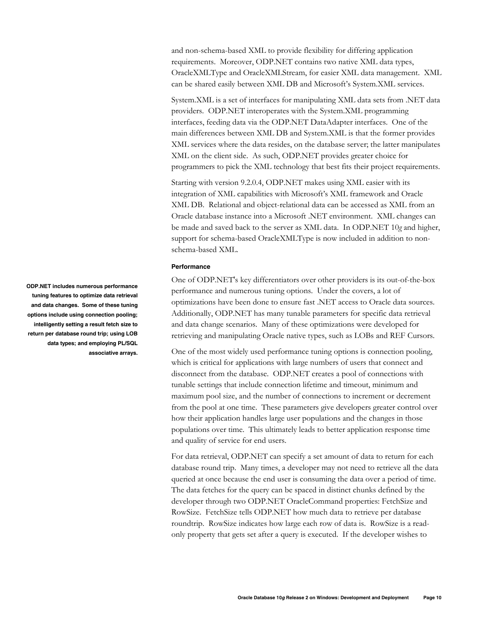and non-schema-based XML to provide flexibility for differing application requirements. Moreover, ODP.NET contains two native XML data types, OracleXMLType and OracleXMLStream, for easier XML data management. XML can be shared easily between XML DB and Microsoft's System.XML services.

System.XML is a set of interfaces for manipulating XML data sets from .NET data providers. ODP.NET interoperates with the System.XML programming interfaces, feeding data via the ODP.NET DataAdapter interfaces. One of the main differences between XML DB and System.XML is that the former provides XML services where the data resides, on the database server; the latter manipulates XML on the client side. As such, ODP.NET provides greater choice for programmers to pick the XML technology that best fits their project requirements.

Starting with version 9.2.0.4, ODP.NET makes using XML easier with its integration of XML capabilities with Microsoft's XML framework and Oracle XML DB. Relational and object-relational data can be accessed as XML from an Oracle database instance into a Microsoft .NET environment. XML changes can be made and saved back to the server as XML data. In ODP.NET 10*g* and higher, support for schema-based OracleXMLType is now included in addition to nonschema-based XML.

## **Performance**

One of ODP.NET's key differentiators over other providers is its out-of-the-box performance and numerous tuning options. Under the covers, a lot of optimizations have been done to ensure fast .NET access to Oracle data sources. Additionally, ODP.NET has many tunable parameters for specific data retrieval and data change scenarios. Many of these optimizations were developed for retrieving and manipulating Oracle native types, such as LOBs and REF Cursors.

One of the most widely used performance tuning options is connection pooling, which is critical for applications with large numbers of users that connect and disconnect from the database. ODP.NET creates a pool of connections with tunable settings that include connection lifetime and timeout, minimum and maximum pool size, and the number of connections to increment or decrement from the pool at one time. These parameters give developers greater control over how their application handles large user populations and the changes in those populations over time. This ultimately leads to better application response time and quality of service for end users.

For data retrieval, ODP.NET can specify a set amount of data to return for each database round trip. Many times, a developer may not need to retrieve all the data queried at once because the end user is consuming the data over a period of time. The data fetches for the query can be spaced in distinct chunks defined by the developer through two ODP.NET OracleCommand properties: FetchSize and RowSize. FetchSize tells ODP.NET how much data to retrieve per database roundtrip. RowSize indicates how large each row of data is. RowSize is a readonly property that gets set after a query is executed. If the developer wishes to

**ODP.NET includes numerous performance tuning features to optimize data retrieval and data changes. Some of these tuning options include using connection pooling; intelligently setting a result fetch size to return per database round trip; using LOB data types; and employing PL/SQL associative arrays.**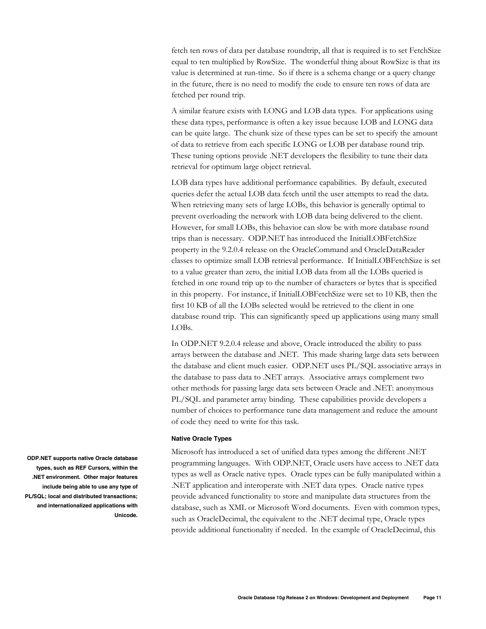fetch ten rows of data per database roundtrip, all that is required is to set FetchSize equal to ten multiplied by RowSize. The wonderful thing about RowSize is that its value is determined at run-time. So if there is a schema change or a query change in the future, there is no need to modify the code to ensure ten rows of data are fetched per round trip.

A similar feature exists with LONG and LOB data types. For applications using these data types, performance is often a key issue because LOB and LONG data can be quite large. The chunk size of these types can be set to specify the amount of data to retrieve from each specific LONG or LOB per database round trip. These tuning options provide .NET developers the flexibility to tune their data retrieval for optimum large object retrieval.

LOB data types have additional performance capabilities. By default, executed queries defer the actual LOB data fetch until the user attempts to read the data. When retrieving many sets of large LOBs, this behavior is generally optimal to prevent overloading the network with LOB data being delivered to the client. However, for small LOBs, this behavior can slow be with more database round trips than is necessary. ODP.NET has introduced the InitialLOBFetchSize property in the 9.2.0.4 release on the OracleCommand and OracleDataReader classes to optimize small LOB retrieval performance. If InitialLOBFetchSize is set to a value greater than zero, the initial LOB data from all the LOBs queried is fetched in one round trip up to the number of characters or bytes that is specified in this property. For instance, if InitialLOBFetchSize were set to 10 KB, then the first 10 KB of all the LOBs selected would be retrieved to the client in one database round trip. This can significantly speed up applications using many small LOBs.

In ODP.NET 9.2.0.4 release and above, Oracle introduced the ability to pass arrays between the database and .NET. This made sharing large data sets between the database and client much easier. ODP.NET uses PL/SQL associative arrays in the database to pass data to .NET arrays. Associative arrays complement two other methods for passing large data sets between Oracle and .NET: anonymous PL/SQL and parameter array binding. These capabilities provide developers a number of choices to performance tune data management and reduce the amount of code they need to write for this task.

#### **Native Oracle Types**

Microsoft has introduced a set of unified data types among the different .NET programming languages. With ODP.NET, Oracle users have access to .NET data types as well as Oracle native types. Oracle types can be fully manipulated within a .NET application and interoperate with .NET data types. Oracle native types provide advanced functionality to store and manipulate data structures from the database, such as XML or Microsoft Word documents. Even with common types, such as OracleDecimal, the equivalent to the .NET decimal type, Oracle types provide additional functionality if needed. In the example of OracleDecimal, this

**ODP.NET supports native Oracle database types, such as REF Cursors, within the .NET environment. Other major features include being able to use any type of PL/SQL; local and distributed transactions; and internationalized applications with Unicode.**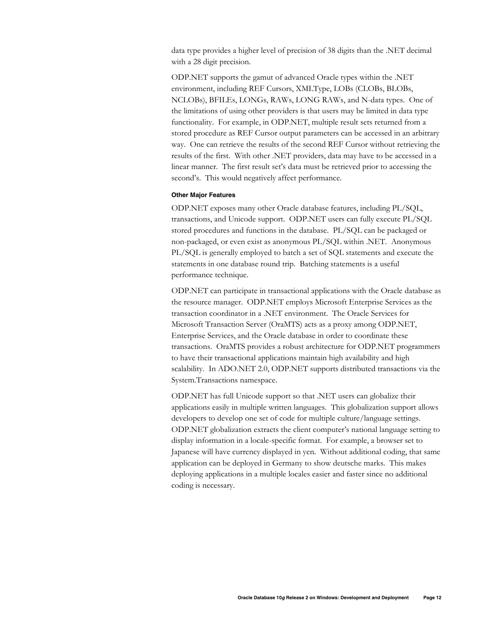data type provides a higher level of precision of 38 digits than the .NET decimal with a 28 digit precision.

ODP.NET supports the gamut of advanced Oracle types within the .NET environment, including REF Cursors, XMLType, LOBs (CLOBs, BLOBs, NCLOBs), BFILEs, LONGs, RAWs, LONG RAWs, and N-data types. One of the limitations of using other providers is that users may be limited in data type functionality. For example, in ODP.NET, multiple result sets returned from a stored procedure as REF Cursor output parameters can be accessed in an arbitrary way. One can retrieve the results of the second REF Cursor without retrieving the results of the first. With other .NET providers, data may have to be accessed in a linear manner. The first result set's data must be retrieved prior to accessing the second's. This would negatively affect performance.

#### **Other Major Features**

ODP.NET exposes many other Oracle database features, including PL/SQL, transactions, and Unicode support. ODP.NET users can fully execute PL/SQL stored procedures and functions in the database. PL/SQL can be packaged or non-packaged, or even exist as anonymous PL/SQL within .NET. Anonymous PL/SQL is generally employed to batch a set of SQL statements and execute the statements in one database round trip. Batching statements is a useful performance technique.

ODP.NET can participate in transactional applications with the Oracle database as the resource manager. ODP.NET employs Microsoft Enterprise Services as the transaction coordinator in a .NET environment. The Oracle Services for Microsoft Transaction Server (OraMTS) acts as a proxy among ODP.NET, Enterprise Services, and the Oracle database in order to coordinate these transactions. OraMTS provides a robust architecture for ODP.NET programmers to have their transactional applications maintain high availability and high scalability. In ADO.NET 2.0, ODP.NET supports distributed transactions via the System.Transactions namespace.

ODP.NET has full Unicode support so that .NET users can globalize their applications easily in multiple written languages. This globalization support allows developers to develop one set of code for multiple culture/language settings. ODP.NET globalization extracts the client computer's national language setting to display information in a locale-specific format. For example, a browser set to Japanese will have currency displayed in yen. Without additional coding, that same application can be deployed in Germany to show deutsche marks. This makes deploying applications in a multiple locales easier and faster since no additional coding is necessary.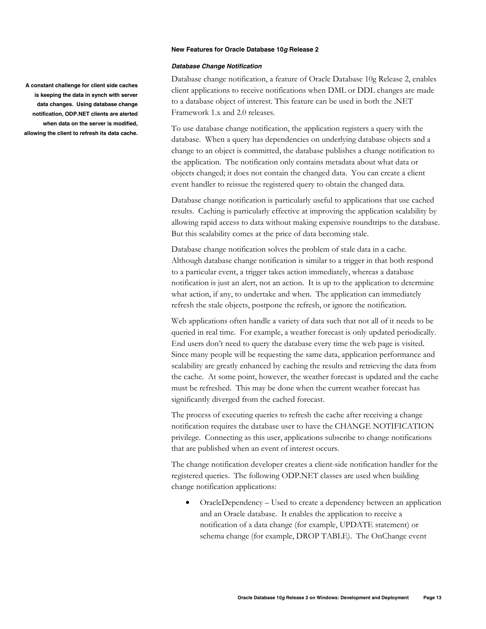#### **New Features for Oracle Database 10g Release 2**

#### **Database Change Notification**

Database change notification, a feature of Oracle Database 10g Release 2, enables client applications to receive notifications when DML or DDL changes are made to a database object of interest. This feature can be used in both the .NET Framework 1.x and 2.0 releases.

To use database change notification, the application registers a query with the database. When a query has dependencies on underlying database objects and a change to an object is committed, the database publishes a change notification to the application. The notification only contains metadata about what data or objects changed; it does not contain the changed data. You can create a client event handler to reissue the registered query to obtain the changed data.

Database change notification is particularly useful to applications that use cached results. Caching is particularly effective at improving the application scalability by allowing rapid access to data without making expensive roundtrips to the database. But this scalability comes at the price of data becoming stale.

Database change notification solves the problem of stale data in a cache. Although database change notification is similar to a trigger in that both respond to a particular event, a trigger takes action immediately, whereas a database notification is just an alert, not an action. It is up to the application to determine what action, if any, to undertake and when. The application can immediately refresh the stale objects, postpone the refresh, or ignore the notification.

Web applications often handle a variety of data such that not all of it needs to be queried in real time. For example, a weather forecast is only updated periodically. End users don't need to query the database every time the web page is visited. Since many people will be requesting the same data, application performance and scalability are greatly enhanced by caching the results and retrieving the data from the cache. At some point, however, the weather forecast is updated and the cache must be refreshed. This may be done when the current weather forecast has significantly diverged from the cached forecast.

The process of executing queries to refresh the cache after receiving a change notification requires the database user to have the CHANGE NOTIFICATION privilege. Connecting as this user, applications subscribe to change notifications that are published when an event of interest occurs.

The change notification developer creates a client-side notification handler for the registered queries. The following ODP.NET classes are used when building change notification applications:

• OracleDependency – Used to create a dependency between an application and an Oracle database. It enables the application to receive a notification of a data change (for example, UPDATE statement) or schema change (for example, DROP TABLE). The OnChange event

**A constant challenge for client side caches is keeping the data in synch with server data changes. Using database change notification, ODP.NET clients are alerted when data on the server is modified, allowing the client to refresh its data cache.**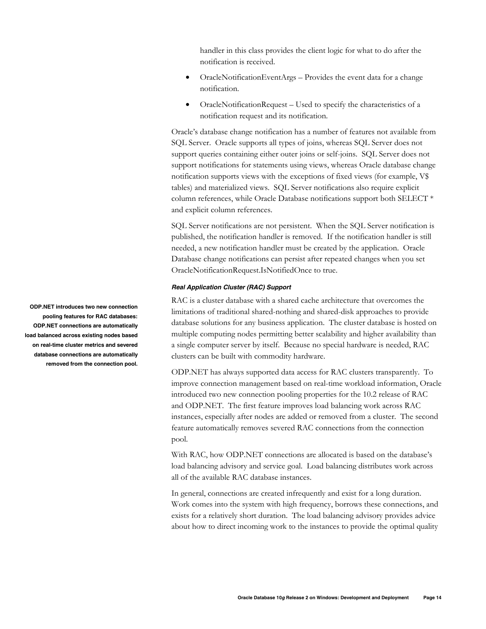handler in this class provides the client logic for what to do after the notification is received.

- OracleNotificationEventArgs Provides the event data for a change notification.
- OracleNotificationRequest Used to specify the characteristics of a notification request and its notification.

Oracle's database change notification has a number of features not available from SQL Server. Oracle supports all types of joins, whereas SQL Server does not support queries containing either outer joins or self-joins. SQL Server does not support notifications for statements using views, whereas Oracle database change notification supports views with the exceptions of fixed views (for example, V\$ tables) and materialized views. SQL Server notifications also require explicit column references, while Oracle Database notifications support both SELECT \* and explicit column references.

SQL Server notifications are not persistent. When the SQL Server notification is published, the notification handler is removed. If the notification handler is still needed, a new notification handler must be created by the application. Oracle Database change notifications can persist after repeated changes when you set OracleNotificationRequest.IsNotifiedOnce to true.

# **Real Application Cluster (RAC) Support**

RAC is a cluster database with a shared cache architecture that overcomes the limitations of traditional shared-nothing and shared-disk approaches to provide database solutions for any business application. The cluster database is hosted on multiple computing nodes permitting better scalability and higher availability than a single computer server by itself. Because no special hardware is needed, RAC clusters can be built with commodity hardware.

ODP.NET has always supported data access for RAC clusters transparently. To improve connection management based on real-time workload information, Oracle introduced two new connection pooling properties for the 10.2 release of RAC and ODP.NET. The first feature improves load balancing work across RAC instances, especially after nodes are added or removed from a cluster. The second feature automatically removes severed RAC connections from the connection pool.

With RAC, how ODP.NET connections are allocated is based on the database's load balancing advisory and service goal. Load balancing distributes work across all of the available RAC database instances.

In general, connections are created infrequently and exist for a long duration. Work comes into the system with high frequency, borrows these connections, and exists for a relatively short duration. The load balancing advisory provides advice about how to direct incoming work to the instances to provide the optimal quality

**ODP.NET introduces two new connection pooling features for RAC databases: ODP.NET connections are automatically load balanced across existing nodes based on real-time cluster metrics and severed database connections are automatically removed from the connection pool.**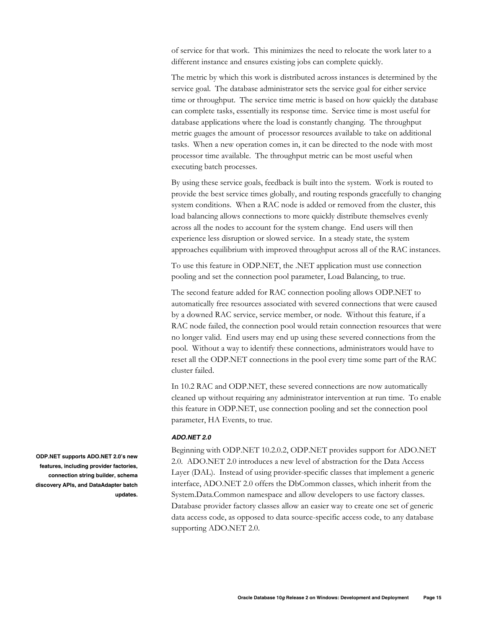of service for that work. This minimizes the need to relocate the work later to a different instance and ensures existing jobs can complete quickly.

The metric by which this work is distributed across instances is determined by the service goal. The database administrator sets the service goal for either service time or throughput. The service time metric is based on how quickly the database can complete tasks, essentially its response time. Service time is most useful for database applications where the load is constantly changing. The throughput metric guages the amount of processor resources available to take on additional tasks. When a new operation comes in, it can be directed to the node with most processor time available. The throughput metric can be most useful when executing batch processes.

By using these service goals, feedback is built into the system. Work is routed to provide the best service times globally, and routing responds gracefully to changing system conditions. When a RAC node is added or removed from the cluster, this load balancing allows connections to more quickly distribute themselves evenly across all the nodes to account for the system change. End users will then experience less disruption or slowed service. In a steady state, the system approaches equilibrium with improved throughput across all of the RAC instances.

To use this feature in ODP.NET, the .NET application must use connection pooling and set the connection pool parameter, Load Balancing, to true.

The second feature added for RAC connection pooling allows ODP.NET to automatically free resources associated with severed connections that were caused by a downed RAC service, service member, or node. Without this feature, if a RAC node failed, the connection pool would retain connection resources that were no longer valid. End users may end up using these severed connections from the pool. Without a way to identify these connections, administrators would have to reset all the ODP.NET connections in the pool every time some part of the RAC cluster failed.

In 10.2 RAC and ODP.NET, these severed connections are now automatically cleaned up without requiring any administrator intervention at run time. To enable this feature in ODP.NET, use connection pooling and set the connection pool parameter, HA Events, to true.

## **ADO.NET 2.0**

Beginning with ODP.NET 10.2.0.2, ODP.NET provides support for ADO.NET 2.0. ADO.NET 2.0 introduces a new level of abstraction for the Data Access Layer (DAL). Instead of using provider-specific classes that implement a generic interface, ADO.NET 2.0 offers the DbCommon classes, which inherit from the System.Data.Common namespace and allow developers to use factory classes. Database provider factory classes allow an easier way to create one set of generic data access code, as opposed to data source-specific access code, to any database supporting ADO.NET 2.0.

**ODP.NET supports ADO.NET 2.0's new features, including provider factories, connection string builder, schema discovery APIs, and DataAdapter batch updates.**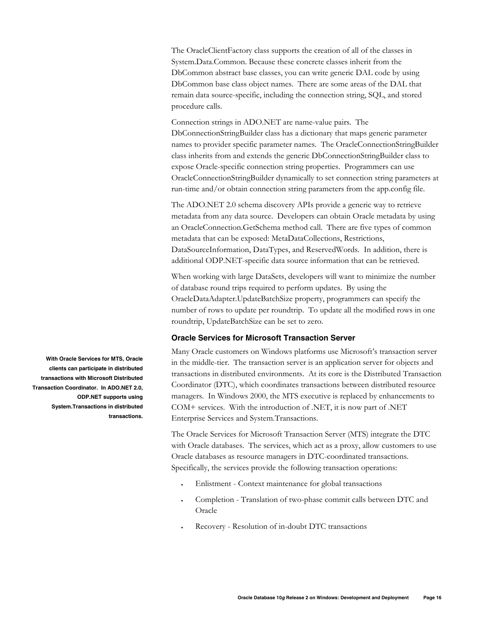The OracleClientFactory class supports the creation of all of the classes in System.Data.Common. Because these concrete classes inherit from the DbCommon abstract base classes, you can write generic DAL code by using DbCommon base class object names. There are some areas of the DAL that remain data source-specific, including the connection string, SQL, and stored procedure calls.

Connection strings in ADO.NET are name-value pairs. The DbConnectionStringBuilder class has a dictionary that maps generic parameter names to provider specific parameter names. The OracleConnectionStringBuilder class inherits from and extends the generic DbConnectionStringBuilder class to expose Oracle-specific connection string properties. Programmers can use OracleConnectionStringBuilder dynamically to set connection string parameters at run-time and/or obtain connection string parameters from the app.config file.

The ADO.NET 2.0 schema discovery APIs provide a generic way to retrieve metadata from any data source. Developers can obtain Oracle metadata by using an OracleConnection.GetSchema method call. There are five types of common metadata that can be exposed: MetaDataCollections, Restrictions, DataSourceInformation, DataTypes, and ReservedWords. In addition, there is additional ODP.NET-specific data source information that can be retrieved.

When working with large DataSets, developers will want to minimize the number of database round trips required to perform updates. By using the OracleDataAdapter.UpdateBatchSize property, programmers can specify the number of rows to update per roundtrip. To update all the modified rows in one roundtrip, UpdateBatchSize can be set to zero.

# **Oracle Services for Microsoft Transaction Server**

Many Oracle customers on Windows platforms use Microsoft's transaction server in the middle-tier. The transaction server is an application server for objects and transactions in distributed environments. At its core is the Distributed Transaction Coordinator (DTC), which coordinates transactions between distributed resource managers. In Windows 2000, the MTS executive is replaced by enhancements to COM+ services. With the introduction of .NET, it is now part of .NET Enterprise Services and System.Transactions.

The Oracle Services for Microsoft Transaction Server (MTS) integrate the DTC with Oracle databases. The services, which act as a proxy, allow customers to use Oracle databases as resource managers in DTC-coordinated transactions. Specifically, the services provide the following transaction operations:

- Enlistment Context maintenance for global transactions
- Completion Translation of two-phase commit calls between DTC and Oracle
- Recovery Resolution of in-doubt DTC transactions

**With Oracle Services for MTS, Oracle clients can participate in distributed transactions with Microsoft Distributed Transaction Coordinator. In ADO.NET 2.0, ODP.NET supports using System.Transactions in distributed transactions.**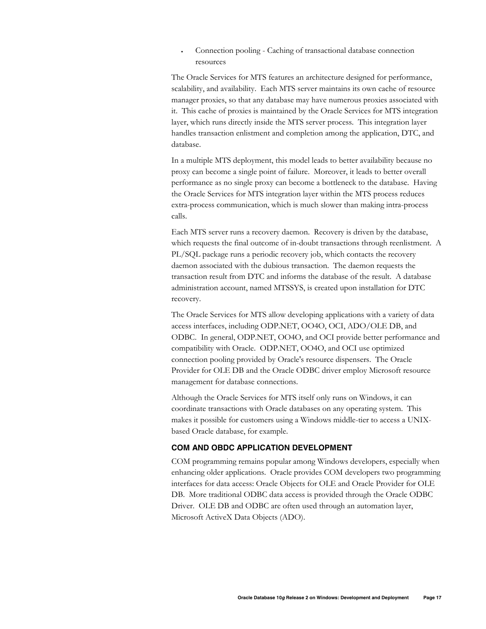• Connection pooling - Caching of transactional database connection resources

The Oracle Services for MTS features an architecture designed for performance, scalability, and availability. Each MTS server maintains its own cache of resource manager proxies, so that any database may have numerous proxies associated with it. This cache of proxies is maintained by the Oracle Services for MTS integration layer, which runs directly inside the MTS server process. This integration layer handles transaction enlistment and completion among the application, DTC, and database.

In a multiple MTS deployment, this model leads to better availability because no proxy can become a single point of failure. Moreover, it leads to better overall performance as no single proxy can become a bottleneck to the database. Having the Oracle Services for MTS integration layer within the MTS process reduces extra-process communication, which is much slower than making intra-process calls.

Each MTS server runs a recovery daemon. Recovery is driven by the database, which requests the final outcome of in-doubt transactions through reenlistment. A PL/SQL package runs a periodic recovery job, which contacts the recovery daemon associated with the dubious transaction. The daemon requests the transaction result from DTC and informs the database of the result. A database administration account, named MTSSYS, is created upon installation for DTC recovery.

The Oracle Services for MTS allow developing applications with a variety of data access interfaces, including ODP.NET, OO4O, OCI, ADO/OLE DB, and ODBC. In general, ODP.NET, OO4O, and OCI provide better performance and compatibility with Oracle. ODP.NET, OO4O, and OCI use optimized connection pooling provided by Oracle's resource dispensers. The Oracle Provider for OLE DB and the Oracle ODBC driver employ Microsoft resource management for database connections.

Although the Oracle Services for MTS itself only runs on Windows, it can coordinate transactions with Oracle databases on any operating system. This makes it possible for customers using a Windows middle-tier to access a UNIXbased Oracle database, for example.

# **COM AND OBDC APPLICATION DEVELOPMENT**

COM programming remains popular among Windows developers, especially when enhancing older applications. Oracle provides COM developers two programming interfaces for data access: Oracle Objects for OLE and Oracle Provider for OLE DB. More traditional ODBC data access is provided through the Oracle ODBC Driver. OLE DB and ODBC are often used through an automation layer, Microsoft ActiveX Data Objects (ADO).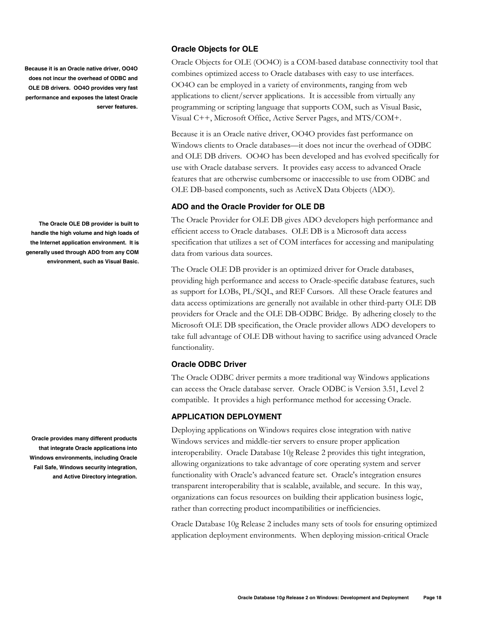**Because it is an Oracle native driver, OO4O does not incur the overhead of ODBC and OLE DB drivers. OO4O provides very fast performance and exposes the latest Oracle server features.** 

**The Oracle OLE DB provider is built to handle the high volume and high loads of the Internet application environment. It is generally used through ADO from any COM environment, such as Visual Basic.** 

**Oracle provides many different products that integrate Oracle applications into Windows environments, including Oracle Fail Safe, Windows security integration, and Active Directory integration.** 

# **Oracle Objects for OLE**

Oracle Objects for OLE (OO4O) is a COM-based database connectivity tool that combines optimized access to Oracle databases with easy to use interfaces. OO4O can be employed in a variety of environments, ranging from web applications to client/server applications. It is accessible from virtually any programming or scripting language that supports COM, such as Visual Basic, Visual C++, Microsoft Office, Active Server Pages, and MTS/COM+.

Because it is an Oracle native driver, OO4O provides fast performance on Windows clients to Oracle databases—it does not incur the overhead of ODBC and OLE DB drivers. OO4O has been developed and has evolved specifically for use with Oracle database servers. It provides easy access to advanced Oracle features that are otherwise cumbersome or inaccessible to use from ODBC and OLE DB-based components, such as ActiveX Data Objects (ADO).

# **ADO and the Oracle Provider for OLE DB**

The Oracle Provider for OLE DB gives ADO developers high performance and efficient access to Oracle databases. OLE DB is a Microsoft data access specification that utilizes a set of COM interfaces for accessing and manipulating data from various data sources.

The Oracle OLE DB provider is an optimized driver for Oracle databases, providing high performance and access to Oracle-specific database features, such as support for LOBs, PL/SQL, and REF Cursors. All these Oracle features and data access optimizations are generally not available in other third-party OLE DB providers for Oracle and the OLE DB-ODBC Bridge. By adhering closely to the Microsoft OLE DB specification, the Oracle provider allows ADO developers to take full advantage of OLE DB without having to sacrifice using advanced Oracle functionality.

# **Oracle ODBC Driver**

The Oracle ODBC driver permits a more traditional way Windows applications can access the Oracle database server. Oracle ODBC is Version 3.51, Level 2 compatible. It provides a high performance method for accessing Oracle.

# **APPLICATION DEPLOYMENT**

Deploying applications on Windows requires close integration with native Windows services and middle-tier servers to ensure proper application interoperability. Oracle Database 10*g* Release 2 provides this tight integration, allowing organizations to take advantage of core operating system and server functionality with Oracle's advanced feature set. Oracle's integration ensures transparent interoperability that is scalable, available, and secure. In this way, organizations can focus resources on building their application business logic, rather than correcting product incompatibilities or inefficiencies.

Oracle Database 10g Release 2 includes many sets of tools for ensuring optimized application deployment environments. When deploying mission-critical Oracle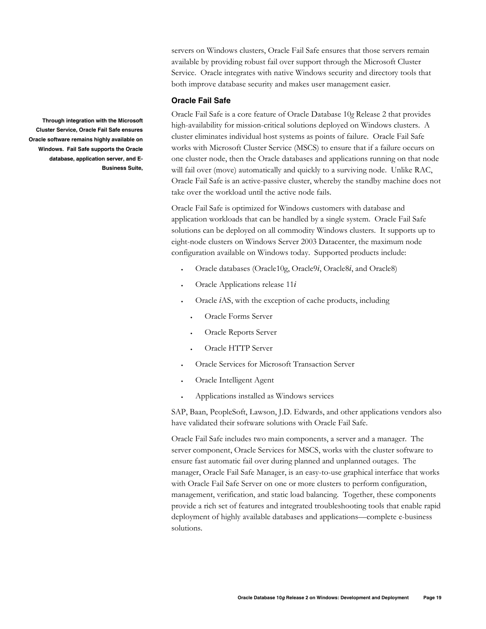servers on Windows clusters, Oracle Fail Safe ensures that those servers remain available by providing robust fail over support through the Microsoft Cluster Service. Oracle integrates with native Windows security and directory tools that both improve database security and makes user management easier.

# **Oracle Fail Safe**

Oracle Fail Safe is a core feature of Oracle Database 10*g* Release 2 that provides high-availability for mission-critical solutions deployed on Windows clusters. A cluster eliminates individual host systems as points of failure. Oracle Fail Safe works with Microsoft Cluster Service (MSCS) to ensure that if a failure occurs on one cluster node, then the Oracle databases and applications running on that node will fail over (move) automatically and quickly to a surviving node. Unlike RAC, Oracle Fail Safe is an active-passive cluster, whereby the standby machine does not take over the workload until the active node fails.

Oracle Fail Safe is optimized for Windows customers with database and application workloads that can be handled by a single system. Oracle Fail Safe solutions can be deployed on all commodity Windows clusters. It supports up to eight-node clusters on Windows Server 2003 Datacenter, the maximum node configuration available on Windows today. Supported products include:

- Oracle databases (Oracle10g, Oracle9*i*, Oracle8*i*, and Oracle8)
- Oracle Applications release 11*i*
- Oracle *i*AS, with the exception of cache products, including
	- Oracle Forms Server
	- Oracle Reports Server
	- Oracle HTTP Server
- Oracle Services for Microsoft Transaction Server
- Oracle Intelligent Agent
- Applications installed as Windows services

SAP, Baan, PeopleSoft, Lawson, J.D. Edwards, and other applications vendors also have validated their software solutions with Oracle Fail Safe.

Oracle Fail Safe includes two main components, a server and a manager. The server component, Oracle Services for MSCS, works with the cluster software to ensure fast automatic fail over during planned and unplanned outages. The manager, Oracle Fail Safe Manager, is an easy-to-use graphical interface that works with Oracle Fail Safe Server on one or more clusters to perform configuration, management, verification, and static load balancing. Together, these components provide a rich set of features and integrated troubleshooting tools that enable rapid deployment of highly available databases and applications—complete e-business solutions.

**Through integration with the Microsoft Cluster Service, Oracle Fail Safe ensures Oracle software remains highly available on Windows. Fail Safe supports the Oracle database, application server, and E-Business Suite,**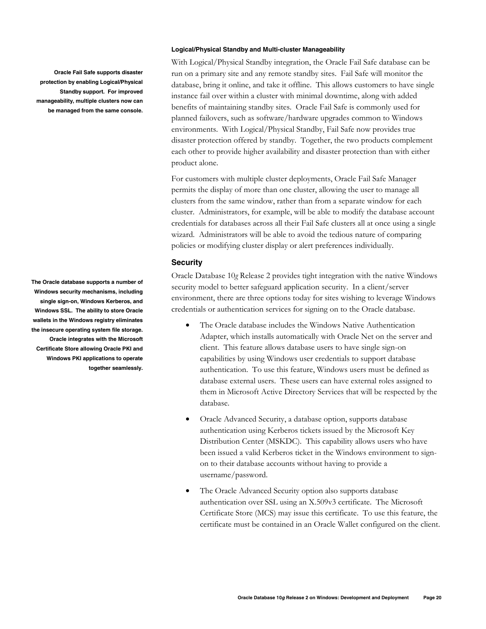**Oracle Fail Safe supports disaster protection by enabling Logical/Physical Standby support. For improved manageability, multiple clusters now can be managed from the same console.** 

**The Oracle database supports a number of Windows security mechanisms, including single sign-on, Windows Kerberos, and Windows SSL. The ability to store Oracle wallets in the Windows registry eliminates the insecure operating system file storage. Oracle integrates with the Microsoft Certificate Store allowing Oracle PKI and Windows PKI applications to operate together seamlessly.** 

#### **Logical/Physical Standby and Multi-cluster Manageability**

With Logical/Physical Standby integration, the Oracle Fail Safe database can be run on a primary site and any remote standby sites. Fail Safe will monitor the database, bring it online, and take it offline. This allows customers to have single instance fail over within a cluster with minimal downtime, along with added benefits of maintaining standby sites. Oracle Fail Safe is commonly used for planned failovers, such as software/hardware upgrades common to Windows environments. With Logical/Physical Standby, Fail Safe now provides true disaster protection offered by standby. Together, the two products complement each other to provide higher availability and disaster protection than with either product alone.

For customers with multiple cluster deployments, Oracle Fail Safe Manager permits the display of more than one cluster, allowing the user to manage all clusters from the same window, rather than from a separate window for each cluster. Administrators, for example, will be able to modify the database account credentials for databases across all their Fail Safe clusters all at once using a single wizard. Administrators will be able to avoid the tedious nature of comparing policies or modifying cluster display or alert preferences individually.

# **Security**

Oracle Database 10*g* Release 2 provides tight integration with the native Windows security model to better safeguard application security. In a client/server environment, there are three options today for sites wishing to leverage Windows credentials or authentication services for signing on to the Oracle database.

- The Oracle database includes the Windows Native Authentication Adapter, which installs automatically with Oracle Net on the server and client. This feature allows database users to have single sign-on capabilities by using Windows user credentials to support database authentication. To use this feature, Windows users must be defined as database external users. These users can have external roles assigned to them in Microsoft Active Directory Services that will be respected by the database.
- Oracle Advanced Security, a database option, supports database authentication using Kerberos tickets issued by the Microsoft Key Distribution Center (MSKDC). This capability allows users who have been issued a valid Kerberos ticket in the Windows environment to signon to their database accounts without having to provide a username/password.
- The Oracle Advanced Security option also supports database authentication over SSL using an X.509v3 certificate. The Microsoft Certificate Store (MCS) may issue this certificate. To use this feature, the certificate must be contained in an Oracle Wallet configured on the client.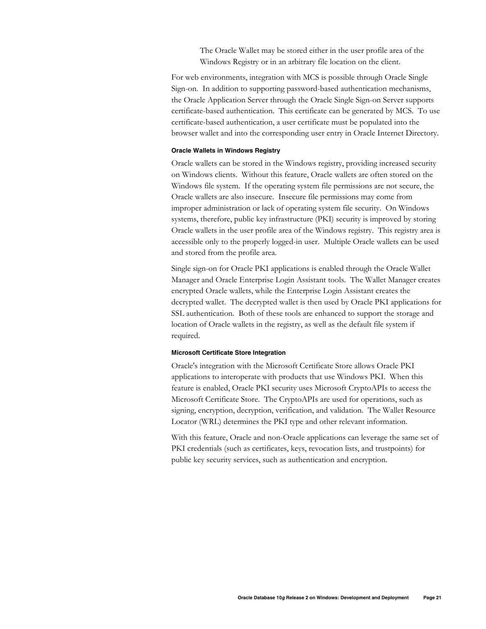The Oracle Wallet may be stored either in the user profile area of the Windows Registry or in an arbitrary file location on the client.

For web environments, integration with MCS is possible through Oracle Single Sign-on. In addition to supporting password-based authentication mechanisms, the Oracle Application Server through the Oracle Single Sign-on Server supports certificate-based authentication. This certificate can be generated by MCS. To use certificate-based authentication, a user certificate must be populated into the browser wallet and into the corresponding user entry in Oracle Internet Directory.

### **Oracle Wallets in Windows Registry**

Oracle wallets can be stored in the Windows registry, providing increased security on Windows clients. Without this feature, Oracle wallets are often stored on the Windows file system. If the operating system file permissions are not secure, the Oracle wallets are also insecure. Insecure file permissions may come from improper administration or lack of operating system file security. On Windows systems, therefore, public key infrastructure (PKI) security is improved by storing Oracle wallets in the user profile area of the Windows registry. This registry area is accessible only to the properly logged-in user. Multiple Oracle wallets can be used and stored from the profile area.

Single sign-on for Oracle PKI applications is enabled through the Oracle Wallet Manager and Oracle Enterprise Login Assistant tools. The Wallet Manager creates encrypted Oracle wallets, while the Enterprise Login Assistant creates the decrypted wallet. The decrypted wallet is then used by Oracle PKI applications for SSL authentication. Both of these tools are enhanced to support the storage and location of Oracle wallets in the registry, as well as the default file system if required.

## **Microsoft Certificate Store Integration**

Oracle's integration with the Microsoft Certificate Store allows Oracle PKI applications to interoperate with products that use Windows PKI. When this feature is enabled, Oracle PKI security uses Microsoft CryptoAPIs to access the Microsoft Certificate Store. The CryptoAPIs are used for operations, such as signing, encryption, decryption, verification, and validation. The Wallet Resource Locator (WRL) determines the PKI type and other relevant information.

With this feature, Oracle and non-Oracle applications can leverage the same set of PKI credentials (such as certificates, keys, revocation lists, and trustpoints) for public key security services, such as authentication and encryption.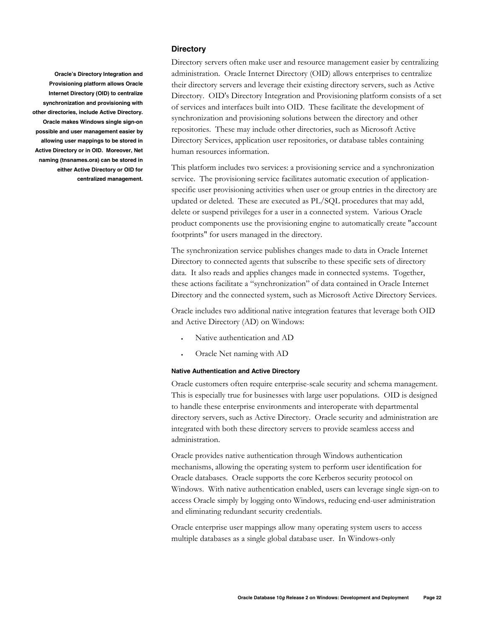## **Directory**

**Oracle's Directory Integration and Provisioning platform allows Oracle Internet Directory (OID) to centralize synchronization and provisioning with other directories, include Active Directory. Oracle makes Windows single sign-on possible and user management easier by allowing user mappings to be stored in Active Directory or in OID. Moreover, Net naming (tnsnames.ora) can be stored in either Active Directory or OID for centralized management.**  Directory servers often make user and resource management easier by centralizing administration. Oracle Internet Directory (OID) allows enterprises to centralize their directory servers and leverage their existing directory servers, such as Active Directory. OID's Directory Integration and Provisioning platform consists of a set of services and interfaces built into OID. These facilitate the development of synchronization and provisioning solutions between the directory and other repositories. These may include other directories, such as Microsoft Active Directory Services, application user repositories, or database tables containing human resources information.

This platform includes two services: a provisioning service and a synchronization service. The provisioning service facilitates automatic execution of applicationspecific user provisioning activities when user or group entries in the directory are updated or deleted. These are executed as PL/SQL procedures that may add, delete or suspend privileges for a user in a connected system. Various Oracle product components use the provisioning engine to automatically create "account footprints" for users managed in the directory.

The synchronization service publishes changes made to data in Oracle Internet Directory to connected agents that subscribe to these specific sets of directory data. It also reads and applies changes made in connected systems. Together, these actions facilitate a "synchronization" of data contained in Oracle Internet Directory and the connected system, such as Microsoft Active Directory Services.

Oracle includes two additional native integration features that leverage both OID and Active Directory (AD) on Windows:

- Native authentication and AD
- Oracle Net naming with AD

## **Native Authentication and Active Directory**

Oracle customers often require enterprise-scale security and schema management. This is especially true for businesses with large user populations. OID is designed to handle these enterprise environments and interoperate with departmental directory servers, such as Active Directory. Oracle security and administration are integrated with both these directory servers to provide seamless access and administration.

Oracle provides native authentication through Windows authentication mechanisms, allowing the operating system to perform user identification for Oracle databases. Oracle supports the core Kerberos security protocol on Windows. With native authentication enabled, users can leverage single sign-on to access Oracle simply by logging onto Windows, reducing end-user administration and eliminating redundant security credentials.

Oracle enterprise user mappings allow many operating system users to access multiple databases as a single global database user. In Windows-only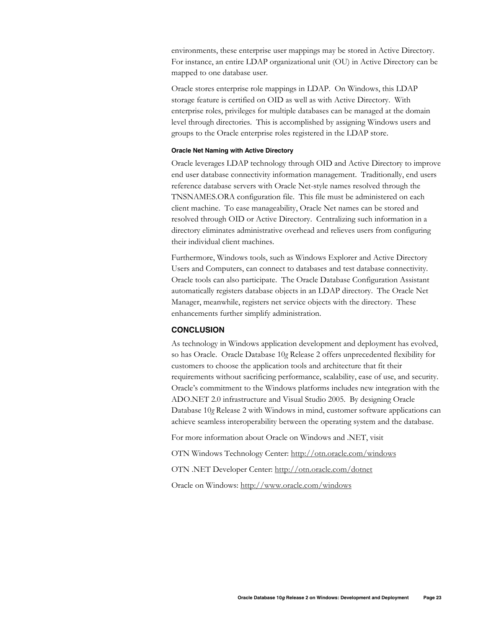environments, these enterprise user mappings may be stored in Active Directory. For instance, an entire LDAP organizational unit (OU) in Active Directory can be mapped to one database user.

Oracle stores enterprise role mappings in LDAP. On Windows, this LDAP storage feature is certified on OID as well as with Active Directory. With enterprise roles, privileges for multiple databases can be managed at the domain level through directories. This is accomplished by assigning Windows users and groups to the Oracle enterprise roles registered in the LDAP store.

#### **Oracle Net Naming with Active Directory**

Oracle leverages LDAP technology through OID and Active Directory to improve end user database connectivity information management. Traditionally, end users reference database servers with Oracle Net-style names resolved through the TNSNAMES.ORA configuration file. This file must be administered on each client machine. To ease manageability, Oracle Net names can be stored and resolved through OID or Active Directory. Centralizing such information in a directory eliminates administrative overhead and relieves users from configuring their individual client machines.

Furthermore, Windows tools, such as Windows Explorer and Active Directory Users and Computers, can connect to databases and test database connectivity. Oracle tools can also participate. The Oracle Database Configuration Assistant automatically registers database objects in an LDAP directory. The Oracle Net Manager, meanwhile, registers net service objects with the directory. These enhancements further simplify administration.

# **CONCLUSION**

As technology in Windows application development and deployment has evolved, so has Oracle. Oracle Database 10*g* Release 2 offers unprecedented flexibility for customers to choose the application tools and architecture that fit their requirements without sacrificing performance, scalability, ease of use, and security. Oracle's commitment to the Windows platforms includes new integration with the ADO.NET 2.0 infrastructure and Visual Studio 2005. By designing Oracle Database 10*g* Release 2 with Windows in mind, customer software applications can achieve seamless interoperability between the operating system and the database.

For more information about Oracle on Windows and .NET, visit

OTN Windows Technology Center: http://otn.oracle.com/windows

OTN .NET Developer Center: http://otn.oracle.com/dotnet

Oracle on Windows: http://www.oracle.com/windows